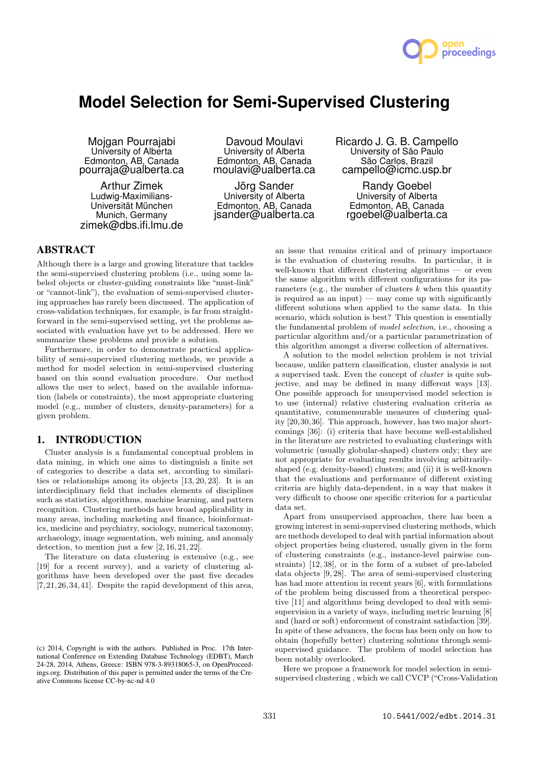

# **Model Selection for Semi-Supervised Clustering**

Mojgan Pourrajabi University of Alberta Edmonton, AB, Canada pourraja@ualberta.ca

Arthur Zimek Ludwig-Maximilians-Universität München Munich, Germany zimek@dbs.ifi.lmu.de

Davoud Moulavi University of Alberta Edmonton, AB, Canada moulavi@ualberta.ca

Jörg Sander University of Alberta Edmonton, AB, Canada jsander@ualberta.ca Ricardo J. G. B. Campello University of São Paulo São Carlos, Brazil campello@icmc.usp.br

Randy Goebel University of Alberta Edmonton, AB, Canada rgoebel@ualberta.ca

## ABSTRACT

Although there is a large and growing literature that tackles the semi-supervised clustering problem (i.e., using some labeled objects or cluster-guiding constraints like "must-link" or "cannot-link"), the evaluation of semi-supervised clustering approaches has rarely been discussed. The application of cross-validation techniques, for example, is far from straightforward in the semi-supervised setting, yet the problems associated with evaluation have yet to be addressed. Here we summarize these problems and provide a solution.

Furthermore, in order to demonstrate practical applicability of semi-supervised clustering methods, we provide a method for model selection in semi-supervised clustering based on this sound evaluation procedure. Our method allows the user to select, based on the available information (labels or constraints), the most appropriate clustering model (e.g., number of clusters, density-parameters) for a given problem.

## 1. INTRODUCTION

Cluster analysis is a fundamental conceptual problem in data mining, in which one aims to distinguish a finite set of categories to describe a data set, according to similarities or relationships among its objects [13, 20, 23]. It is an interdisciplinary field that includes elements of disciplines such as statistics, algorithms, machine learning, and pattern recognition. Clustering methods have broad applicability in many areas, including marketing and finance, bioinformatics, medicine and psychiatry, sociology, numerical taxonomy, archaeology, image segmentation, web mining, and anomaly detection, to mention just a few [2, 16, 21, 22].

The literature on data clustering is extensive (e.g., see [19] for a recent survey), and a variety of clustering algorithms have been developed over the past five decades [7,21,26,34,41]. Despite the rapid development of this area,

an issue that remains critical and of primary importance is the evaluation of clustering results. In particular, it is well-known that different clustering algorithms — or even the same algorithm with different configurations for its parameters (e.g., the number of clusters  $k$  when this quantity is required as an input) — may come up with significantly different solutions when applied to the same data. In this scenario, which solution is best? This question is essentially the fundamental problem of model selection, i.e., choosing a particular algorithm and/or a particular parametrization of this algorithm amongst a diverse collection of alternatives.

A solution to the model selection problem is not trivial because, unlike pattern classification, cluster analysis is not a supervised task. Even the concept of cluster is quite subjective, and may be defined in many different ways [13]. One possible approach for unsupervised model selection is to use (internal) relative clustering evaluation criteria as quantitative, commensurable measures of clustering quality [20,30,36]. This approach, however, has two major shortcomings [36]: (i) criteria that have become well-established in the literature are restricted to evaluating clusterings with volumetric (usually globular-shaped) clusters only; they are not appropriate for evaluating results involving arbitrarilyshaped (e.g. density-based) clusters; and (ii) it is well-known that the evaluations and performance of different existing criteria are highly data-dependent, in a way that makes it very difficult to choose one specific criterion for a particular data set.

Apart from unsupervised approaches, there has been a growing interest in semi-supervised clustering methods, which are methods developed to deal with partial information about object properties being clustered, usually given in the form of clustering constraints (e.g., instance-level pairwise constraints) [12, 38], or in the form of a subset of pre-labeled data objects [9, 28]. The area of semi-supervised clustering has had more attention in recent years [6], with formulations of the problem being discussed from a theoretical perspective [11] and algorithms being developed to deal with semisupervision in a variety of ways, including metric learning [8] and (hard or soft) enforcement of constraint satisfaction [39]. In spite of these advances, the focus has been only on how to obtain (hopefully better) clustering solutions through semisupervised guidance. The problem of model selection has been notably overlooked.

Here we propose a framework for model selection in semisupervised clustering , which we call CVCP ("Cross-Validation

<sup>(</sup>c) 2014, Copyright is with the authors. Published in Proc. 17th International Conference on Extending Database Technology (EDBT), March 24-28, 2014, Athens, Greece: ISBN 978-3-89318065-3, on OpenProceedings.org. Distribution of this paper is permitted under the terms of the Creative Commons license CC-by-nc-nd 4.0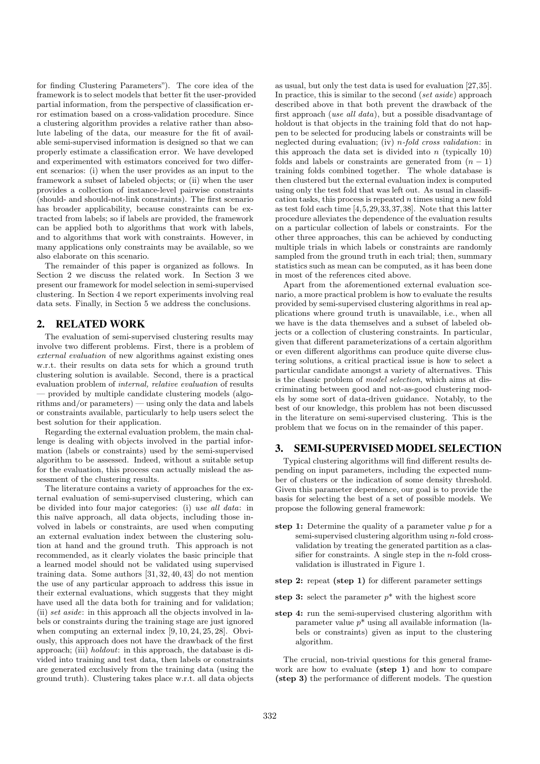for finding Clustering Parameters"). The core idea of the framework is to select models that better fit the user-provided partial information, from the perspective of classification error estimation based on a cross-validation procedure. Since a clustering algorithm provides a relative rather than absolute labeling of the data, our measure for the fit of available semi-supervised information is designed so that we can properly estimate a classification error. We have developed and experimented with estimators conceived for two different scenarios: (i) when the user provides as an input to the framework a subset of labeled objects; or (ii) when the user provides a collection of instance-level pairwise constraints (should- and should-not-link constraints). The first scenario has broader applicability, because constraints can be extracted from labels; so if labels are provided, the framework can be applied both to algorithms that work with labels, and to algorithms that work with constraints. However, in many applications only constraints may be available, so we also elaborate on this scenario.

The remainder of this paper is organized as follows. In Section 2 we discuss the related work. In Section 3 we present our framework for model selection in semi-supervised clustering. In Section 4 we report experiments involving real data sets. Finally, in Section 5 we address the conclusions.

# 2. RELATED WORK

The evaluation of semi-supervised clustering results may involve two different problems. First, there is a problem of external evaluation of new algorithms against existing ones w.r.t. their results on data sets for which a ground truth clustering solution is available. Second, there is a practical evaluation problem of internal, relative evaluation of results — provided by multiple candidate clustering models (algorithms and/or parameters) — using only the data and labels or constraints available, particularly to help users select the best solution for their application.

Regarding the external evaluation problem, the main challenge is dealing with objects involved in the partial information (labels or constraints) used by the semi-supervised algorithm to be assessed. Indeed, without a suitable setup for the evaluation, this process can actually mislead the assessment of the clustering results.

The literature contains a variety of approaches for the external evaluation of semi-supervised clustering, which can be divided into four major categories: (i) use all data: in this naïve approach, all data objects, including those involved in labels or constraints, are used when computing an external evaluation index between the clustering solution at hand and the ground truth. This approach is not recommended, as it clearly violates the basic principle that a learned model should not be validated using supervised training data. Some authors [31, 32, 40, 43] do not mention the use of any particular approach to address this issue in their external evaluations, which suggests that they might have used all the data both for training and for validation; (ii) set aside: in this approach all the objects involved in labels or constraints during the training stage are just ignored when computing an external index [9, 10, 24, 25, 28]. Obviously, this approach does not have the drawback of the first approach; (iii) holdout: in this approach, the database is divided into training and test data, then labels or constraints are generated exclusively from the training data (using the ground truth). Clustering takes place w.r.t. all data objects

as usual, but only the test data is used for evaluation [27,35]. In practice, this is similar to the second (set aside) approach described above in that both prevent the drawback of the first approach (use all data), but a possible disadvantage of holdout is that objects in the training fold that do not happen to be selected for producing labels or constraints will be neglected during evaluation; (iv) n-fold cross validation: in this approach the data set is divided into  $n$  (typically 10) folds and labels or constraints are generated from  $(n - 1)$ training folds combined together. The whole database is then clustered but the external evaluation index is computed using only the test fold that was left out. As usual in classification tasks, this process is repeated  $n$  times using a new fold as test fold each time [4,5,29,33,37,38]. Note that this latter procedure alleviates the dependence of the evaluation results on a particular collection of labels or constraints. For the other three approaches, this can be achieved by conducting multiple trials in which labels or constraints are randomly sampled from the ground truth in each trial; then, summary statistics such as mean can be computed, as it has been done in most of the references cited above.

Apart from the aforementioned external evaluation scenario, a more practical problem is how to evaluate the results provided by semi-supervised clustering algorithms in real applications where ground truth is unavailable, i.e., when all we have is the data themselves and a subset of labeled objects or a collection of clustering constraints. In particular, given that different parameterizations of a certain algorithm or even different algorithms can produce quite diverse clustering solutions, a critical practical issue is how to select a particular candidate amongst a variety of alternatives. This is the classic problem of model selection, which aims at discriminating between good and not-as-good clustering models by some sort of data-driven guidance. Notably, to the best of our knowledge, this problem has not been discussed in the literature on semi-supervised clustering. This is the problem that we focus on in the remainder of this paper.

## 3. SEMI-SUPERVISED MODEL SELECTION

Typical clustering algorithms will find different results depending on input parameters, including the expected number of clusters or the indication of some density threshold. Given this parameter dependence, our goal is to provide the basis for selecting the best of a set of possible models. We propose the following general framework:

- step 1: Determine the quality of a parameter value  $p$  for a semi-supervised clustering algorithm using *n*-fold crossvalidation by treating the generated partition as a classifier for constraints. A single step in the  $n$ -fold crossvalidation is illustrated in Figure 1.
- step 2: repeat (step 1) for different parameter settings

step 3: select the parameter  $p^*$  with the highest score

step 4: run the semi-supervised clustering algorithm with parameter value  $p^*$  using all available information (labels or constraints) given as input to the clustering algorithm.

The crucial, non-trivial questions for this general framework are how to evaluate (step 1) and how to compare (step 3) the performance of different models. The question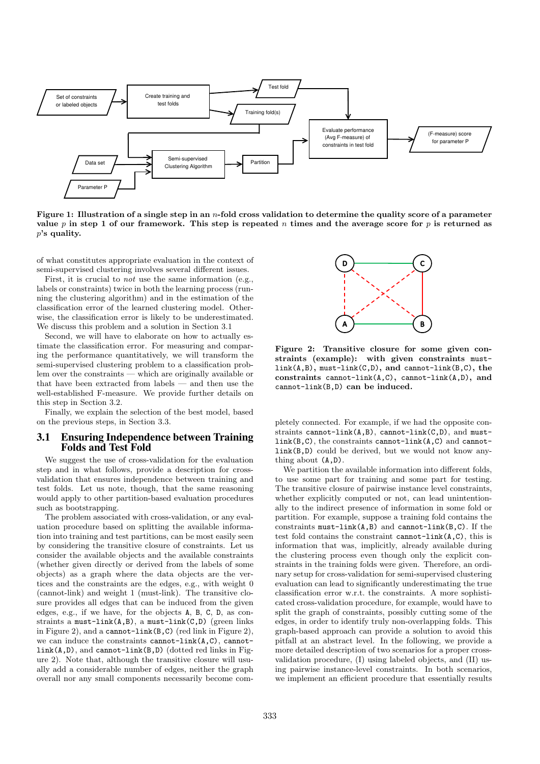

Figure 1: Illustration of a single step in an *n*-fold cross validation to determine the quality score of a parameter value p in step 1 of our framework. This step is repeated n times and the average score for p is returned as p's quality.

of what constitutes appropriate evaluation in the context of semi-supervised clustering involves several different issues.

First, it is crucial to *not* use the same information (e.g., labels or constraints) twice in both the learning process (running the clustering algorithm) and in the estimation of the classification error of the learned clustering model. Otherwise, the classification error is likely to be underestimated. We discuss this problem and a solution in Section 3.1

Second, we will have to elaborate on how to actually estimate the classification error. For measuring and comparing the performance quantitatively, we will transform the semi-supervised clustering problem to a classification problem over the constraints — which are originally available or that have been extracted from labels — and then use the well-established F-measure. We provide further details on this step in Section 3.2.

Finally, we explain the selection of the best model, based on the previous steps, in Section 3.3.

## 3.1 Ensuring Independence between Training Folds and Test Fold

We suggest the use of cross-validation for the evaluation step and in what follows, provide a description for crossvalidation that ensures independence between training and test folds. Let us note, though, that the same reasoning would apply to other partition-based evaluation procedures such as bootstrapping.

The problem associated with cross-validation, or any evaluation procedure based on splitting the available information into training and test partitions, can be most easily seen by considering the transitive closure of constraints. Let us consider the available objects and the available constraints (whether given directly or derived from the labels of some objects) as a graph where the data objects are the vertices and the constraints are the edges, e.g., with weight 0 (cannot-link) and weight 1 (must-link). The transitive closure provides all edges that can be induced from the given edges, e.g., if we have, for the objects A, B, C, D, as constraints a must-link $(A, B)$ , a must-link $(C, D)$  (green links in Figure 2), and a cannot-link(B,C) (red link in Figure 2), we can induce the constraints cannot-link(A,C), cannotlink(A,D), and cannot-link(B,D) (dotted red links in Figure 2). Note that, although the transitive closure will usually add a considerable number of edges, neither the graph overall nor any small components necessarily become com-



Figure 2: Transitive closure for some given constraints (example): with given constraints mustlink(A,B), must-link(C,D), and cannot-link(B,C), the constraints cannot-link(A,C), cannot-link(A,D), and cannot-link(B,D) can be induced.

pletely connected. For example, if we had the opposite constraints cannot-link(A,B), cannot-link(C,D), and mustlink(B,C), the constraints cannot-link(A,C) and cannotlink(B,D) could be derived, but we would not know anything about (A,D).

We partition the available information into different folds, to use some part for training and some part for testing. The transitive closure of pairwise instance level constraints, whether explicitly computed or not, can lead unintentionally to the indirect presence of information in some fold or partition. For example, suppose a training fold contains the constraints  $must$ -link $(A, B)$  and cannot-link $(B, C)$ . If the test fold contains the constraint cannot-link $(A, C)$ , this is information that was, implicitly, already available during the clustering process even though only the explicit constraints in the training folds were given. Therefore, an ordinary setup for cross-validation for semi-supervised clustering evaluation can lead to significantly underestimating the true classification error w.r.t. the constraints. A more sophisticated cross-validation procedure, for example, would have to split the graph of constraints, possibly cutting some of the edges, in order to identify truly non-overlapping folds. This graph-based approach can provide a solution to avoid this pitfall at an abstract level. In the following, we provide a more detailed description of two scenarios for a proper crossvalidation procedure, (I) using labeled objects, and (II) using pairwise instance-level constraints. In both scenarios, we implement an efficient procedure that essentially results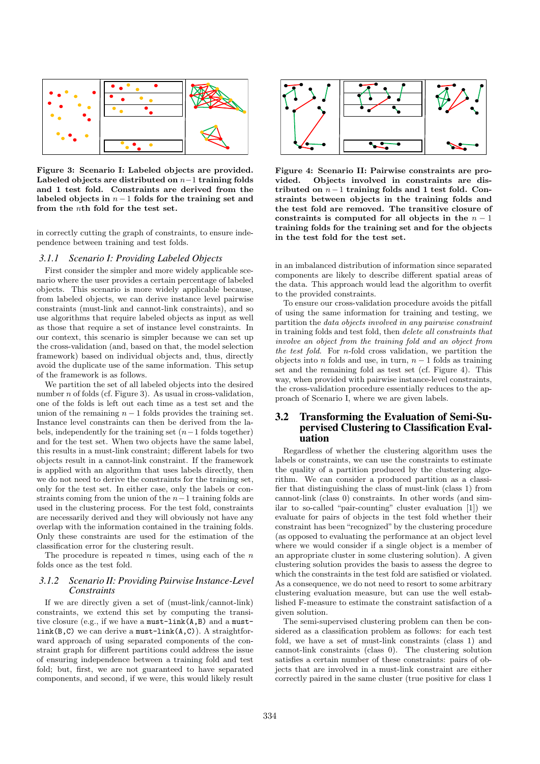

Figure 3: Scenario I: Labeled objects are provided. Labeled objects are distributed on  $n-1$  training folds and 1 test fold. Constraints are derived from the labeled objects in  $n-1$  folds for the training set and from the nth fold for the test set.

in correctly cutting the graph of constraints, to ensure independence between training and test folds.

#### *3.1.1 Scenario I: Providing Labeled Objects*

First consider the simpler and more widely applicable scenario where the user provides a certain percentage of labeled objects. This scenario is more widely applicable because, from labeled objects, we can derive instance level pairwise constraints (must-link and cannot-link constraints), and so use algorithms that require labeled objects as input as well as those that require a set of instance level constraints. In our context, this scenario is simpler because we can set up the cross-validation (and, based on that, the model selection framework) based on individual objects and, thus, directly avoid the duplicate use of the same information. This setup of the framework is as follows.

We partition the set of all labeled objects into the desired number  $n$  of folds (cf. Figure 3). As usual in cross-validation, one of the folds is left out each time as a test set and the union of the remaining  $n - 1$  folds provides the training set. Instance level constraints can then be derived from the labels, independently for the training set  $(n-1)$  folds together) and for the test set. When two objects have the same label, this results in a must-link constraint; different labels for two objects result in a cannot-link constraint. If the framework is applied with an algorithm that uses labels directly, then we do not need to derive the constraints for the training set, only for the test set. In either case, only the labels or constraints coming from the union of the  $n-1$  training folds are used in the clustering process. For the test fold, constraints are necessarily derived and they will obviously not have any overlap with the information contained in the training folds. Only these constraints are used for the estimation of the classification error for the clustering result.

The procedure is repeated n times, using each of the  $n$ folds once as the test fold.

## *3.1.2 Scenario II: Providing Pairwise Instance-Level Constraints*

If we are directly given a set of (must-link/cannot-link) constraints, we extend this set by computing the transitive closure (e.g., if we have a must-link(A,B) and a must $link(B, C)$  we can derive a must-link $(A, C)$ ). A straightforward approach of using separated components of the constraint graph for different partitions could address the issue of ensuring independence between a training fold and test fold; but, first, we are not guaranteed to have separated components, and second, if we were, this would likely result



Figure 4: Scenario II: Pairwise constraints are provided. Objects involved in constraints are distributed on  $n-1$  training folds and 1 test fold. Constraints between objects in the training folds and the test fold are removed. The transitive closure of constraints is computed for all objects in the  $n-1$ training folds for the training set and for the objects in the test fold for the test set.

in an imbalanced distribution of information since separated components are likely to describe different spatial areas of the data. This approach would lead the algorithm to overfit to the provided constraints.

To ensure our cross-validation procedure avoids the pitfall of using the same information for training and testing, we partition the data objects involved in any pairwise constraint in training folds and test fold, then delete all constraints that involve an object from the training fold and an object from the test fold. For n-fold cross validation, we partition the objects into *n* folds and use, in turn,  $n - 1$  folds as training set and the remaining fold as test set (cf. Figure 4). This way, when provided with pairwise instance-level constraints, the cross-validation procedure essentially reduces to the approach of Scenario I, where we are given labels.

## 3.2 Transforming the Evaluation of Semi-Supervised Clustering to Classification Evaluation

Regardless of whether the clustering algorithm uses the labels or constraints, we can use the constraints to estimate the quality of a partition produced by the clustering algorithm. We can consider a produced partition as a classifier that distinguishing the class of must-link (class 1) from cannot-link (class 0) constraints. In other words (and similar to so-called "pair-counting" cluster evaluation [1]) we evaluate for pairs of objects in the test fold whether their constraint has been "recognized" by the clustering procedure (as opposed to evaluating the performance at an object level where we would consider if a single object is a member of an appropriate cluster in some clustering solution). A given clustering solution provides the basis to assess the degree to which the constraints in the test fold are satisfied or violated. As a consequence, we do not need to resort to some arbitrary clustering evaluation measure, but can use the well established F-measure to estimate the constraint satisfaction of a given solution.

The semi-supervised clustering problem can then be considered as a classification problem as follows: for each test fold, we have a set of must-link constraints (class 1) and cannot-link constraints (class 0). The clustering solution satisfies a certain number of these constraints: pairs of objects that are involved in a must-link constraint are either correctly paired in the same cluster (true positive for class 1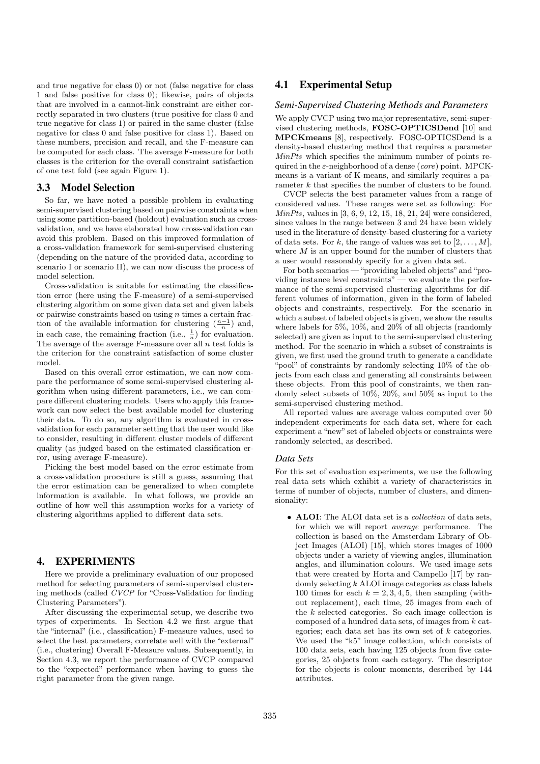and true negative for class 0) or not (false negative for class 1 and false positive for class 0); likewise, pairs of objects that are involved in a cannot-link constraint are either correctly separated in two clusters (true positive for class 0 and true negative for class 1) or paired in the same cluster (false negative for class 0 and false positive for class 1). Based on these numbers, precision and recall, and the F-measure can be computed for each class. The average F-measure for both classes is the criterion for the overall constraint satisfaction of one test fold (see again Figure 1).

#### 3.3 Model Selection

So far, we have noted a possible problem in evaluating semi-supervised clustering based on pairwise constraints when using some partition-based (holdout) evaluation such as crossvalidation, and we have elaborated how cross-validation can avoid this problem. Based on this improved formulation of a cross-validation framework for semi-supervised clustering (depending on the nature of the provided data, according to scenario I or scenario II), we can now discuss the process of model selection.

Cross-validation is suitable for estimating the classification error (here using the F-measure) of a semi-supervised clustering algorithm on some given data set and given labels or pairwise constraints based on using  $n$  times a certain fraction of the available information for clustering  $\left(\frac{n-1}{n}\right)$  and, in each case, the remaining fraction (i.e.,  $\frac{1}{n}$ ) for evaluation. The average of the average F-measure over all  $n$  test folds is the criterion for the constraint satisfaction of some cluster model.

Based on this overall error estimation, we can now compare the performance of some semi-supervised clustering algorithm when using different parameters, i.e., we can compare different clustering models. Users who apply this framework can now select the best available model for clustering their data. To do so, any algorithm is evaluated in crossvalidation for each parameter setting that the user would like to consider, resulting in different cluster models of different quality (as judged based on the estimated classification error, using average F-measure).

Picking the best model based on the error estimate from a cross-validation procedure is still a guess, assuming that the error estimation can be generalized to when complete information is available. In what follows, we provide an outline of how well this assumption works for a variety of clustering algorithms applied to different data sets.

## 4. EXPERIMENTS

Here we provide a preliminary evaluation of our proposed method for selecting parameters of semi-supervised clustering methods (called CVCP for "Cross-Validation for finding Clustering Parameters").

After discussing the experimental setup, we describe two types of experiments. In Section 4.2 we first argue that the "internal" (i.e., classification) F-measure values, used to select the best parameters, correlate well with the "external" (i.e., clustering) Overall F-Measure values. Subsequently, in Section 4.3, we report the performance of CVCP compared to the "expected" performance when having to guess the right parameter from the given range.

## 4.1 Experimental Setup

### *Semi-Supervised Clustering Methods and Parameters*

We apply CVCP using two major representative, semi-supervised clustering methods, FOSC-OPTICSDend [10] and MPCKmeans [8], respectively. FOSC-OPTICSDend is a density-based clustering method that requires a parameter MinPts which specifies the minimum number of points required in the  $\varepsilon$ -neighborhood of a dense (core) point. MPCKmeans is a variant of K-means, and similarly requires a parameter k that specifies the number of clusters to be found.

CVCP selects the best parameter values from a range of considered values. These ranges were set as following: For MinPts, values in [3, 6, 9, 12, 15, 18, 21, 24] were considered, since values in the range between 3 and 24 have been widely used in the literature of density-based clustering for a variety of data sets. For k, the range of values was set to  $[2, \ldots, M]$ , where  $M$  is an upper bound for the number of clusters that a user would reasonably specify for a given data set.

For both scenarios — "providing labeled objects" and "providing instance level constraints" — we evaluate the performance of the semi-supervised clustering algorithms for different volumes of information, given in the form of labeled objects and constraints, respectively. For the scenario in which a subset of labeled objects is given, we show the results where labels for 5%, 10%, and 20% of all objects (randomly selected) are given as input to the semi-supervised clustering method. For the scenario in which a subset of constraints is given, we first used the ground truth to generate a candidate "pool" of constraints by randomly selecting 10% of the objects from each class and generating all constraints between these objects. From this pool of constraints, we then randomly select subsets of 10%, 20%, and 50% as input to the semi-supervised clustering method.

All reported values are average values computed over 50 independent experiments for each data set, where for each experiment a "new" set of labeled objects or constraints were randomly selected, as described.

#### *Data Sets*

For this set of evaluation experiments, we use the following real data sets which exhibit a variety of characteristics in terms of number of objects, number of clusters, and dimensionality:

• ALOI: The ALOI data set is a *collection* of data sets, for which we will report average performance. The collection is based on the Amsterdam Library of Object Images (ALOI) [15], which stores images of 1000 objects under a variety of viewing angles, illumination angles, and illumination colours. We used image sets that were created by Horta and Campello [17] by randomly selecting  $k$  ALOI image categories as class labels 100 times for each  $k = 2, 3, 4, 5$ , then sampling (without replacement), each time, 25 images from each of the  $k$  selected categories. So each image collection is composed of a hundred data sets, of images from k categories; each data set has its own set of k categories. We used the "k5" image collection, which consists of 100 data sets, each having 125 objects from five categories, 25 objects from each category. The descriptor for the objects is colour moments, described by 144 attributes.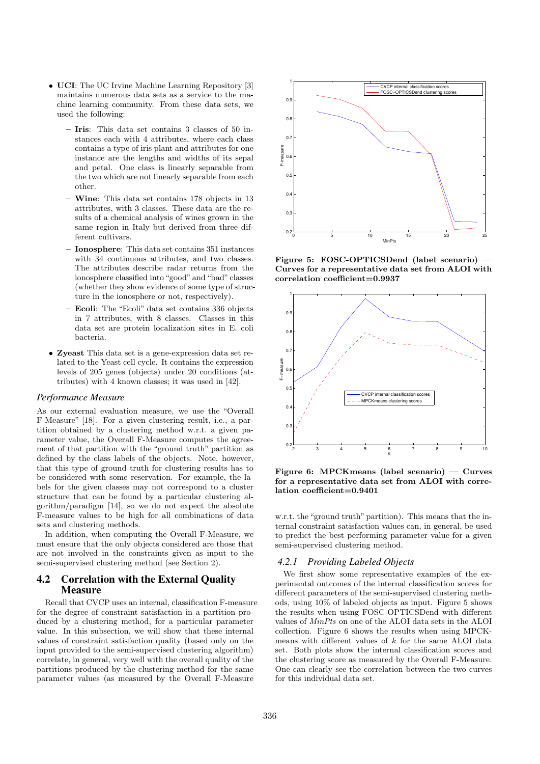- UCI: The UC Irvine Machine Learning Repository [3] maintains numerous data sets as a service to the machine learning community. From these data sets, we used the following:
	- Iris: This data set contains 3 classes of 50 instances each with 4 attributes, where each class contains a type of iris plant and attributes for one instance are the lengths and widths of its sepal and petal. One class is linearly separable from the two which are not linearly separable from each other.
	- Wine: This data set contains 178 objects in 13 attributes, with 3 classes. These data are the results of a chemical analysis of wines grown in the same region in Italy but derived from three different cultivars.
	- Ionosphere: This data set contains 351 instances with 34 continuous attributes, and two classes. The attributes describe radar returns from the ionosphere classified into "good" and "bad" classes (whether they show evidence of some type of structure in the ionosphere or not, respectively).
	- Ecoli: The "Ecoli" data set contains 336 objects in 7 attributes, with 8 classes. Classes in this data set are protein localization sites in E. coli bacteria.
- Zyeast This data set is a gene-expression data set related to the Yeast cell cycle. It contains the expression levels of 205 genes (objects) under 20 conditions (attributes) with 4 known classes; it was used in [42].

#### *Performance Measure*

As our external evaluation measure, we use the "Overall F-Measure" [18]. For a given clustering result, i.e., a partition obtained by a clustering method w.r.t. a given parameter value, the Overall F-Measure computes the agreement of that partition with the "ground truth" partition as defined by the class labels of the objects. Note, however, that this type of ground truth for clustering results has to be considered with some reservation. For example, the labels for the given classes may not correspond to a cluster structure that can be found by a particular clustering algorithm/paradigm [14], so we do not expect the absolute F-measure values to be high for all combinations of data sets and clustering methods.

In addition, when computing the Overall F-Measure, we must ensure that the only objects considered are those that are not involved in the constraints given as input to the semi-supervised clustering method (see Section 2).

## 4.2 Correlation with the External Quality **Measure**

Recall that CVCP uses an internal, classification F-measure for the degree of constraint satisfaction in a partition produced by a clustering method, for a particular parameter value. In this subsection, we will show that these internal values of constraint satisfaction quality (based only on the input provided to the semi-supervised clustering algorithm) correlate, in general, very well with the overall quality of the partitions produced by the clustering method for the same parameter values (as measured by the Overall F-Measure



Figure 5: FOSC-OPTICSDend (label scenario) — Curves for a representative data set from ALOI with correlation coefficient=0.9937



Figure 6: MPCKmeans (label scenario) — Curves for a representative data set from ALOI with correlation coefficient=0.9401

w.r.t. the "ground truth" partition). This means that the internal constraint satisfaction values can, in general, be used to predict the best performing parameter value for a given semi-supervised clustering method.

### *4.2.1 Providing Labeled Objects*

We first show some representative examples of the experimental outcomes of the internal classification scores for different parameters of the semi-supervised clustering methods, using 10% of labeled objects as input. Figure 5 shows the results when using FOSC-OPTICSDend with different values of MinPts on one of the ALOI data sets in the ALOI collection. Figure 6 shows the results when using MPCKmeans with different values of k for the same ALOI data set. Both plots show the internal classification scores and the clustering score as measured by the Overall F-Measure. One can clearly see the correlation between the two curves for this individual data set.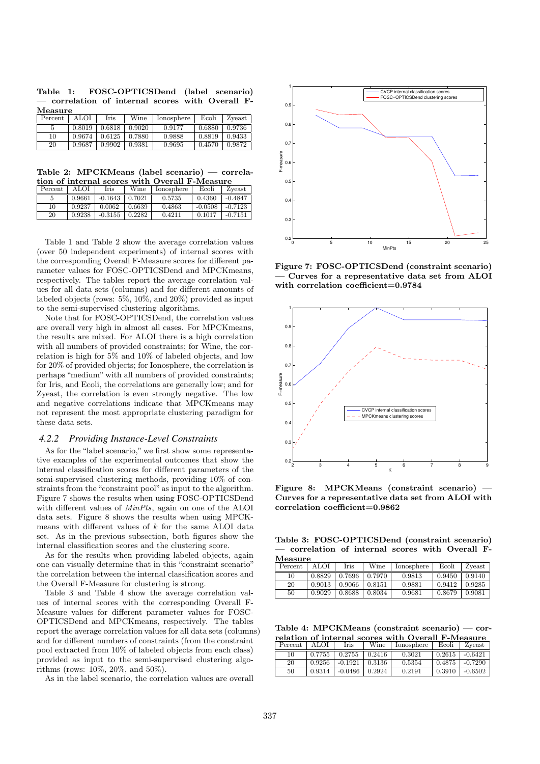|            |  | Table 1: FOSC-OPTICSDend (label scenario)        |  |  |
|------------|--|--------------------------------------------------|--|--|
|            |  | - correlation of internal scores with Overall F- |  |  |
| $M$ easure |  |                                                  |  |  |

| .       |        |                     |        |            |        |              |
|---------|--------|---------------------|--------|------------|--------|--------------|
| Percent | ALOI   | Iris                | Wine   | Ionosphere | Ecoli  | Zveast       |
|         | 0.8019 | 0.6818              | 0.9020 | 0.9177     | 0.6880 | 0.9736       |
| 10      | 0.9674 | $\binom{0.6125}{ }$ | 0.7880 | 0.9888     | 0.8819 | $\pm 0.9433$ |
| 20      | 0.9687 | 0.9902              | 0.9381 | 0.9695     | 0.4570 | 0.9872       |

Table 2: MPCKMeans (label scenario) — correlation of internal scores with Overall F-Measure

|         |        | .         |        |            | .         |           |
|---------|--------|-----------|--------|------------|-----------|-----------|
| Percent | ALOI   | Iris      | Wine   | Ionosphere | Ecoli     | Zveast    |
| 5       | 0.9661 | $-0.1643$ | 0.7021 | 0.5735     | 0.4360    | $-0.4847$ |
| 10      | 0.9237 | 0.0062    | 0.6639 | 0.4863     | $-0.0508$ | $-0.7123$ |
| 20      | 0.9238 | $-0.3155$ | 0.2282 | 0.4211     | 0.1017    | $-0.7151$ |

Table 1 and Table 2 show the average correlation values (over 50 independent experiments) of internal scores with the corresponding Overall F-Measure scores for different parameter values for FOSC-OPTICSDend and MPCKmeans, respectively. The tables report the average correlation values for all data sets (columns) and for different amounts of labeled objects (rows: 5%, 10%, and 20%) provided as input to the semi-supervised clustering algorithms.

Note that for FOSC-OPTICSDend, the correlation values are overall very high in almost all cases. For MPCKmeans, the results are mixed. For ALOI there is a high correlation with all numbers of provided constraints; for Wine, the correlation is high for 5% and 10% of labeled objects, and low for 20% of provided objects; for Ionosphere, the correlation is perhaps "medium" with all numbers of provided constraints; for Iris, and Ecoli, the correlations are generally low; and for Zyeast, the correlation is even strongly negative. The low and negative correlations indicate that MPCKmeans may not represent the most appropriate clustering paradigm for these data sets.

### *4.2.2 Providing Instance-Level Constraints*

As for the "label scenario," we first show some representative examples of the experimental outcomes that show the internal classification scores for different parameters of the semi-supervised clustering methods, providing 10% of constraints from the "constraint pool" as input to the algorithm. Figure 7 shows the results when using FOSC-OPTICSDend with different values of MinPts, again on one of the ALOI data sets. Figure 8 shows the results when using MPCKmeans with different values of k for the same ALOI data set. As in the previous subsection, both figures show the internal classification scores and the clustering score.

As for the results when providing labeled objects, again one can visually determine that in this "constraint scenario" the correlation between the internal classification scores and the Overall F-Measure for clustering is strong.

Table 3 and Table 4 show the average correlation values of internal scores with the corresponding Overall F-Measure values for different parameter values for FOSC-OPTICSDend and MPCKmeans, respectively. The tables report the average correlation values for all data sets (columns) and for different numbers of constraints (from the constraint pool extracted from 10% of labeled objects from each class) provided as input to the semi-supervised clustering algorithms (rows: 10%, 20%, and 50%).

As in the label scenario, the correlation values are overall



Figure 7: FOSC-OPTICSDend (constraint scenario) — Curves for a representative data set from ALOI with correlation coefficient=0.9784



Figure 8: MPCKMeans (constraint scenario) — Curves for a representative data set from ALOI with correlation coefficient=0.9862

Table 3: FOSC-OPTICSDend (constraint scenario) — correlation of internal scores with Overall F-Measure

| Percent | ALOI   | Iris   | Wine   | lonosphere | Ecoli  | Zyeast |
|---------|--------|--------|--------|------------|--------|--------|
| 10      | 0.8829 | 0.7696 | 0.7970 | 0.9813     | 0.9450 | 0.9140 |
| 20      | 0.9013 | 0.9066 | 0.8151 | 0.9881     | 0.9412 | 0.9285 |
| 50      | 0.9029 | 0.8688 | 0.8034 | 0.9681     | 0.8679 | 0.9081 |

Table 4: MPCKMeans (constraint scenario) — correlation of internal scores with Overall F-Measure

| Percent | ALOI   | Iris    | Wine           | lonosphere | Ecoli              | Zyeast    |
|---------|--------|---------|----------------|------------|--------------------|-----------|
| 10      | 0.7755 | 0.2755  | $\pm 0.2416$   | 0.3021     | $0.2615$ $-0.6421$ |           |
| 20      | 0.9256 | -0.1921 | 10.3136        | 0.5354     | 0.4875             | $-0.7290$ |
| 50      | 0.9314 | -0.0486 | $\perp 0.2924$ | 0.2191     | 0.3910             | -0.6502   |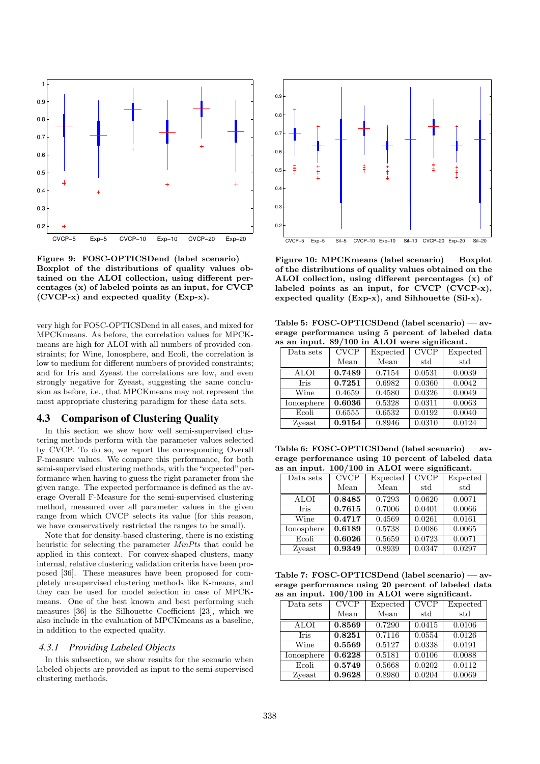

Figure 9: FOSC-OPTICSDend (label scenario) — Boxplot of the distributions of quality values obtained on the ALOI collection, using different percentages (x) of labeled points as an input, for CVCP (CVCP-x) and expected quality (Exp-x).

very high for FOSC-OPTICSDend in all cases, and mixed for MPCKmeans. As before, the correlation values for MPCKmeans are high for ALOI with all numbers of provided constraints; for Wine, Ionosphere, and Ecoli, the correlation is low to medium for different numbers of provided constraints; and for Iris and Zyeast the correlations are low, and even strongly negative for Zyeast, suggesting the same conclusion as before, i.e., that MPCKmeans may not represent the most appropriate clustering paradigm for these data sets.

## 4.3 Comparison of Clustering Quality

In this section we show how well semi-supervised clustering methods perform with the parameter values selected by CVCP. To do so, we report the corresponding Overall F-measure values. We compare this performance, for both semi-supervised clustering methods, with the "expected" performance when having to guess the right parameter from the given range. The expected performance is defined as the average Overall F-Measure for the semi-supervised clustering method, measured over all parameter values in the given range from which CVCP selects its value (for this reason, we have conservatively restricted the ranges to be small).

Note that for density-based clustering, there is no existing heuristic for selecting the parameter MinPts that could be applied in this context. For convex-shaped clusters, many internal, relative clustering validation criteria have been proposed [36]. These measures have been proposed for completely unsupervised clustering methods like K-means, and they can be used for model selection in case of MPCKmeans. One of the best known and best performing such measures [36] is the Silhouette Coefficient [23], which we also include in the evaluation of MPCKmeans as a baseline, in addition to the expected quality.

#### *4.3.1 Providing Labeled Objects*

In this subsection, we show results for the scenario when labeled objects are provided as input to the semi-supervised clustering methods.



Figure 10: MPCKmeans (label scenario) — Boxplot of the distributions of quality values obtained on the ALOI collection, using different percentages (x) of labeled points as an input, for CVCP (CVCP-x), expected quality (Exp-x), and Sihhouette (Sil-x).

Table 5: FOSC-OPTICSDend (label scenario) — average performance using 5 percent of labeled data as an input. 89/100 in ALOI were significant.

| Data sets   | CVCP   | Expected | <b>CVCP</b> | Expected |
|-------------|--------|----------|-------------|----------|
|             | Mean   | Mean     | std         | std      |
| ALOI        | 0.7489 | 0.7154   | 0.0531      | 0.0039   |
| <b>Tris</b> | 0.7251 | 0.6982   | 0.0360      | 0.0042   |
| Wine        | 0.4659 | 0.4580   | 0.0326      | 0.0049   |
| Ionosphere  | 0.6036 | 0.5328   | 0.0311      | 0.0063   |
| Ecoli       | 0.6555 | 0.6532   | 0.0192      | 0.0040   |
| Zyeast      | 0.9154 | 0.8946   | 0.0310      | 0.0124   |

Table 6: FOSC-OPTICSDend (label scenario) — average performance using 10 percent of labeled data as an input. 100/100 in ALOI were significant.

| Data sets   | CVCP   | Expected | <b>CVCP</b> | Expected |
|-------------|--------|----------|-------------|----------|
|             | Mean   | Mean     | std         | std      |
| ALOI        | 0.8485 | 0.7293   | 0.0620      | 0.0071   |
| <b>Iris</b> | 0.7615 | 0.7006   | 0.0401      | 0.0066   |
| Wine        | 0.4717 | 0.4569   | 0.0261      | 0.0161   |
| Ionosphere  | 0.6189 | 0.5738   | 0.0086      | 0.0065   |
| Ecoli       | 0.6026 | 0.5659   | 0.0723      | 0.0071   |
| Zyeast      | 0.9349 | 0.8939   | 0.0347      | 0.0297   |

Table 7: FOSC-OPTICSDend (label scenario) — average performance using 20 percent of labeled data as an input. 100/100 in ALOI were significant.

| Data sets   | CVCP   | Expected | CVCP   | Expected |
|-------------|--------|----------|--------|----------|
|             | Mean   | Mean     | std    | std      |
| ALOI        | 0.8569 | 0.7290   | 0.0415 | 0.0106   |
| <b>Iris</b> | 0.8251 | 0.7116   | 0.0554 | 0.0126   |
| Wine        | 0.5569 | 0.5127   | 0.0338 | 0.0191   |
| Ionosphere  | 0.6228 | 0.5181   | 0.0106 | 0.0088   |
| Ecoli       | 0.5749 | 0.5668   | 0.0202 | 0.0112   |
| Zyeast      | 0.9628 | 0.8980   | 0.0204 | 0.0069   |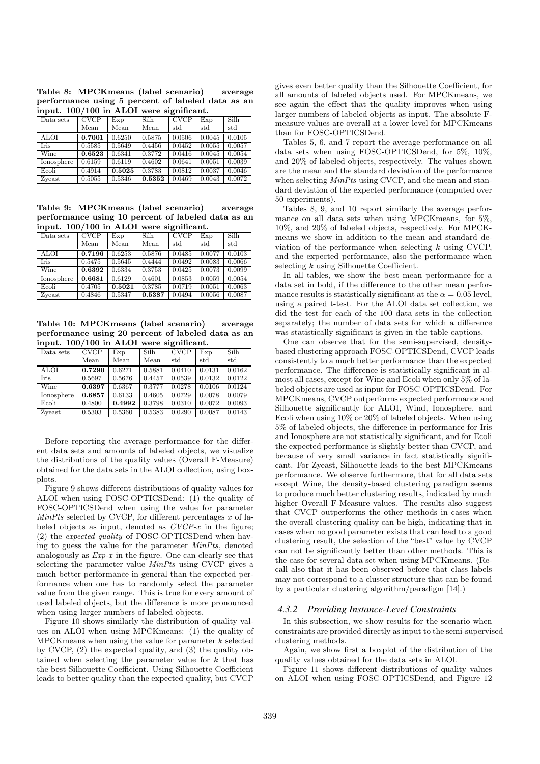Table 8: MPCKmeans (label scenario) — average performance using 5 percent of labeled data as an input. 100/100 in ALOI were significant.

| Data sets   | <b>CVCP</b> | Exp    | Silh   | <b>CVCP</b> | Exp    | Silh   |
|-------------|-------------|--------|--------|-------------|--------|--------|
|             | Mean        | Mean   | Mean   | std         | std    | std    |
| <b>ALOI</b> | 0.7001      | 0.6250 | 0.5875 | 0.0506      | 0.0045 | 0.0105 |
| Iris        | 0.5585      | 0.5649 | 0.4456 | 0.0452      | 0.0055 | 0.0057 |
| Wine        | 0.6523      | 0.6341 | 0.3772 | 0.0416      | 0.0045 | 0.0054 |
| Ionosphere  | 0.6159      | 0.6119 | 0.4602 | 0.0641      | 0.0051 | 0.0039 |
| Ecoli       | 0.4914      | 0.5025 | 0.3783 | 0.0812      | 0.0037 | 0.0046 |
| Zyeast      | 0.5055      | 0.5346 | 0.5352 | 0.0469      | 0.0043 | 0.0072 |

Table 9: MPCKmeans (label scenario) — average performance using 10 percent of labeled data as an input. 100/100 in ALOI were significant.

| Data sets   | <b>CVCP</b> | Exp    | Silh   | CVCP   | Exp    | Silh   |
|-------------|-------------|--------|--------|--------|--------|--------|
|             | Mean        | Mean   | Mean   | std    | std    | std    |
| <b>ALOI</b> | 0.7196      | 0.6253 | 0.5876 | 0.0485 | 0.0077 | 0.0103 |
| <b>Tris</b> | 0.5475      | 0.5645 | 0.4444 | 0.0492 | 0.0083 | 0.0066 |
| Wine        | 0.6392      | 0.6334 | 0.3753 | 0.0425 | 0.0073 | 0.0099 |
| Ionosphere  | 0.6681      | 0.6129 | 0.4601 | 0.0853 | 0.0059 | 0.0054 |
| Ecoli       | 0.4705      | 0.5021 | 0.3785 | 0.0719 | 0.0051 | 0.0063 |
| Zyeast      | 0.4846      | 0.5347 | 0.5387 | 0.0494 | 0.0056 | 0.0087 |

Table 10: MPCKmeans (label scenario) — average performance using 20 percent of labeled data as an input. 100/100 in ALOI were significant.

| Data sets   | <b>CVCP</b> | Exp    | Silh   | <b>CVCP</b> | Exp          | <b>Silh</b> |
|-------------|-------------|--------|--------|-------------|--------------|-------------|
|             | Mean        | Mean   | Mean   | std         | $_{\rm std}$ | std         |
| <b>ALOI</b> | 0.7290      | 0.6271 | 0.5881 | 0.0410      | 0.0131       | 0.0162      |
| <b>Tris</b> | 0.5697      | 0.5676 | 0.4457 | 0.0539      | 0.0132       | 0.0122      |
| Wine        | 0.6397      | 0.6367 | 0.3777 | 0.0278      | 0.0106       | 0.0124      |
| Ionosphere  | 0.6857      | 0.6133 | 0.4605 | 0.0729      | 0.0078       | 0.0079      |
| Ecoli       | 0.4800      | 0.4992 | 0.3798 | 0.0310      | 0.0072       | 0.0093      |
| Zyeast      | 0.5303      | 0.5360 | 0.5383 | 0.0290      | 0.0087       | 0.0143      |

Before reporting the average performance for the different data sets and amounts of labeled objects, we visualize the distributions of the quality values (Overall F-Measure) obtained for the data sets in the ALOI collection, using boxplots.

Figure 9 shows different distributions of quality values for ALOI when using FOSC-OPTICSDend: (1) the quality of FOSC-OPTICSDend when using the value for parameter  $MinPts$  selected by CVCP, for different percentages x of labeled objects as input, denoted as  $CVCP-x$  in the figure; (2) the expected quality of FOSC-OPTICSDend when having to guess the value for the parameter MinPts, denoted analogously as  $Exp-x$  in the figure. One can clearly see that selecting the parameter value MinPts using CVCP gives a much better performance in general than the expected performance when one has to randomly select the parameter value from the given range. This is true for every amount of used labeled objects, but the difference is more pronounced when using larger numbers of labeled objects.

Figure 10 shows similarly the distribution of quality values on ALOI when using MPCKmeans: (1) the quality of MPCK means when using the value for parameter  $k$  selected by CVCP, (2) the expected quality, and (3) the quality obtained when selecting the parameter value for  $k$  that has the best Silhouette Coefficient. Using Silhouette Coefficient leads to better quality than the expected quality, but CVCP

gives even better quality than the Silhouette Coefficient, for all amounts of labeled objects used. For MPCKmeans, we see again the effect that the quality improves when using larger numbers of labeled objects as input. The absolute Fmeasure values are overall at a lower level for MPCKmeans than for FOSC-OPTICSDend.

Tables 5, 6, and 7 report the average performance on all data sets when using FOSC-OPTICSDend, for 5%, 10%, and 20% of labeled objects, respectively. The values shown are the mean and the standard deviation of the performance when selecting  $MinPts$  using CVCP, and the mean and standard deviation of the expected performance (computed over 50 experiments).

Tables 8, 9, and 10 report similarly the average performance on all data sets when using MPCKmeans, for 5%, 10%, and 20% of labeled objects, respectively. For MPCKmeans we show in addition to the mean and standard deviation of the performance when selecting  $k$  using CVCP, and the expected performance, also the performance when selecting k using Silhouette Coefficient.

In all tables, we show the best mean performance for a data set in bold, if the difference to the other mean performance results is statistically significant at the  $\alpha = 0.05$  level, using a paired t-test. For the ALOI data set collection, we did the test for each of the 100 data sets in the collection separately; the number of data sets for which a difference was statistically significant is given in the table captions.

One can observe that for the semi-supervised, densitybased clustering approach FOSC-OPTICSDend, CVCP leads consistently to a much better performance than the expected performance. The difference is statistically significant in almost all cases, except for Wine and Ecoli when only 5% of labeled objects are used as input for FOSC-OPTICSDend. For MPCKmeans, CVCP outperforms expected performance and Silhouette significantly for ALOI, Wind, Ionosphere, and Ecoli when using 10% or 20% of labeled objects. When using 5% of labeled objects, the difference in performance for Iris and Ionosphere are not statistically significant, and for Ecoli the expected performance is slightly better than CVCP, and because of very small variance in fact statistically significant. For Zyeast, Silhouette leads to the best MPCKmeans performance. We observe furthermore, that for all data sets except Wine, the density-based clustering paradigm seems to produce much better clustering results, indicated by much higher Overall F-Measure values. The results also suggest that CVCP outperforms the other methods in cases when the overall clustering quality can be high, indicating that in cases when no good parameter exists that can lead to a good clustering result, the selection of the "best" value by CVCP can not be significantly better than other methods. This is the case for several data set when using MPCKmeans. (Recall also that it has been observed before that class labels may not correspond to a cluster structure that can be found by a particular clustering algorithm/paradigm [14].)

#### *4.3.2 Providing Instance-Level Constraints*

In this subsection, we show results for the scenario when constraints are provided directly as input to the semi-supervised clustering methods.

Again, we show first a boxplot of the distribution of the quality values obtained for the data sets in ALOI.

Figure 11 shows different distributions of quality values on ALOI when using FOSC-OPTICSDend, and Figure 12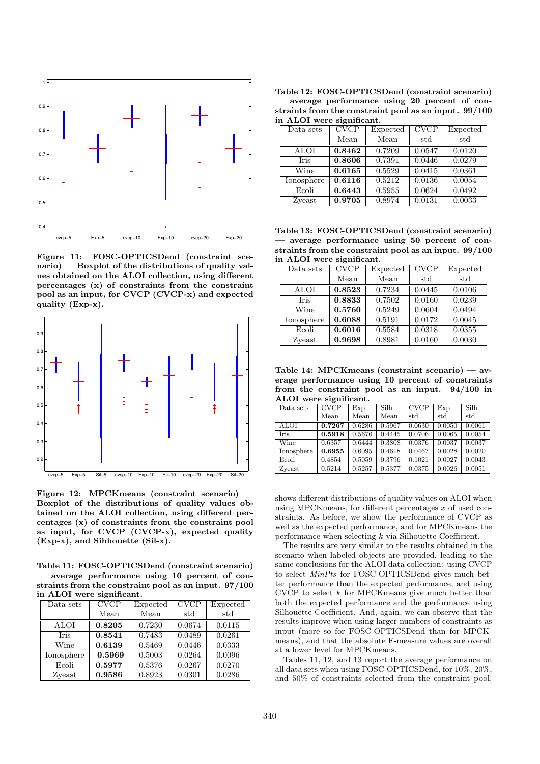

Figure 11: FOSC-OPTICSDend (constraint scenario) — Boxplot of the distributions of quality values obtained on the ALOI collection, using different percentages (x) of constraints from the constraint pool as an input, for CVCP (CVCP-x) and expected quality (Exp-x).



Figure 12: MPCKmeans (constraint scenario) — Boxplot of the distributions of quality values obtained on the ALOI collection, using different percentages (x) of constraints from the constraint pool as input, for CVCP (CVCP-x), expected quality (Exp-x), and Sihhouette (Sil-x).

Table 11: FOSC-OPTICSDend (constraint scenario) — average performance using 10 percent of constraints from the constraint pool as an input. 97/100 in ALOI were significant.

| Data sets   | CVCP   | Expected | <b>CVCP</b> | Expected |
|-------------|--------|----------|-------------|----------|
|             | Mean   | Mean     | std         | std      |
| ALOI        | 0.8205 | 0.7230   | 0.0674      | 0.0115   |
| <b>Iris</b> | 0.8541 | 0.7483   | 0.0489      | 0.0261   |
| Wine        | 0.6139 | 0.5469   | 0.0446      | 0.0333   |
| Ionosphere  | 0.5969 | 0.5003   | 0.0264      | 0.0096   |
| Ecoli       | 0.5977 | 0.5376   | 0.0267      | 0.0270   |
| Zyeast      | 0.9586 | 0.8923   | 0.0301      | 0.0286   |

Table 12: FOSC-OPTICSDend (constraint scenario) — average performance using 20 percent of constraints from the constraint pool as an input. 99/100 in ALOI were significant.

| $- - -$     |        |          |        |          |  |  |  |  |
|-------------|--------|----------|--------|----------|--|--|--|--|
| Data sets   | CVCP   | Expected | CVCP   | Expected |  |  |  |  |
|             | Mean   | Mean     | std    | std      |  |  |  |  |
| ALOI        | 0.8462 | 0.7209   | 0.0547 | 0.0120   |  |  |  |  |
| <b>Tris</b> | 0.8606 | 0.7391   | 0.0446 | 0.0279   |  |  |  |  |
| Wine        | 0.6165 | 0.5529   | 0.0415 | 0.0361   |  |  |  |  |
| Ionosphere  | 0.6116 | 0.5212   | 0.0136 | 0.0054   |  |  |  |  |
| Ecoli       | 0.6443 | 0.5955   | 0.0624 | 0.0492   |  |  |  |  |
| Zyeast      | 0.9705 | 0.8974   | 0.0131 | 0.0033   |  |  |  |  |

Table 13: FOSC-OPTICSDend (constraint scenario) — average performance using 50 percent of constraints from the constraint pool as an input. 99/100 in ALOI were significant.

| Data sets   | CVCP   | Expected | <b>CVCP</b> | Expected |
|-------------|--------|----------|-------------|----------|
|             | Mean   | Mean     | std         | std      |
| ALOI        | 0.8523 | 0.7234   | 0.0445      | 0.0106   |
| <b>Iris</b> | 0.8833 | 0.7502   | 0.0160      | 0.0239   |
| Wine        | 0.5760 | 0.5249   | 0.0604      | 0.0494   |
| Ionosphere  | 0.6088 | 0.5191   | 0.0172      | 0.0045   |
| Ecoli       | 0.6016 | 0.5584   | 0.0318      | 0.0355   |
| Zyeast      | 0.9698 | 0.8981   | 0.0160      | 0.0030   |

Table 14: MPCKmeans (constraint scenario) — average performance using 10 percent of constraints from the constraint pool as an input. 94/100 in ALOI were significant.

| Data sets   | <b>CVCP</b> | Exp    | <b>Silh</b> | <b>CVCP</b>  | Exp    | Silh   |
|-------------|-------------|--------|-------------|--------------|--------|--------|
|             | Mean        | Mean   | Mean        | $_{\rm std}$ | std    | std    |
| <b>ALOI</b> | 0.7267      | 0.6286 | 0.5967      | 0.0630       | 0.0050 | 0.0061 |
| <b>Tris</b> | 0.5918      | 0.5676 | 0.4445      | 0.0706       | 0.0065 | 0.0054 |
| Wine        | 0.6357      | 0.6444 | 0.3808      | 0.0376       | 0.0037 | 0.0037 |
| Ionosphere  | 0.6955      | 0.6095 | 0.4618      | 0.0467       | 0.0028 | 0.0020 |
| Ecoli       | 0.4854      | 0.5059 | 0.3796      | 0.1021       | 0.0027 | 0.0043 |
| Zveast      | 0.5214      | 0.5257 | 0.5377      | 0.0375       | 0.0026 | 0.0051 |

shows different distributions of quality values on ALOI when using MPCK means, for different percentages  $x$  of used constraints. As before, we show the performance of CVCP as well as the expected performance, and for MPCKmeans the performance when selecting k via Silhouette Coefficient.

The results are very similar to the results obtained in the scenario when labeled objects are provided, leading to the same conclusions for the ALOI data collection: using CVCP to select MinPts for FOSC-OPTICSDend gives much better performance than the expected performance, and using CVCP to select  $k$  for MPCK means give much better than both the expected performance and the performance using Silhouette Coefficient. And, again, we can observe that the results improve when using larger numbers of constraints as input (more so for FOSC-OPTICSDend than for MPCKmeans), and that the absolute F-measure values are overall at a lower level for MPCKmeans.

Tables 11, 12, and 13 report the average performance on all data sets when using FOSC-OPTICSDend, for 10%, 20%, and 50% of constraints selected from the constraint pool.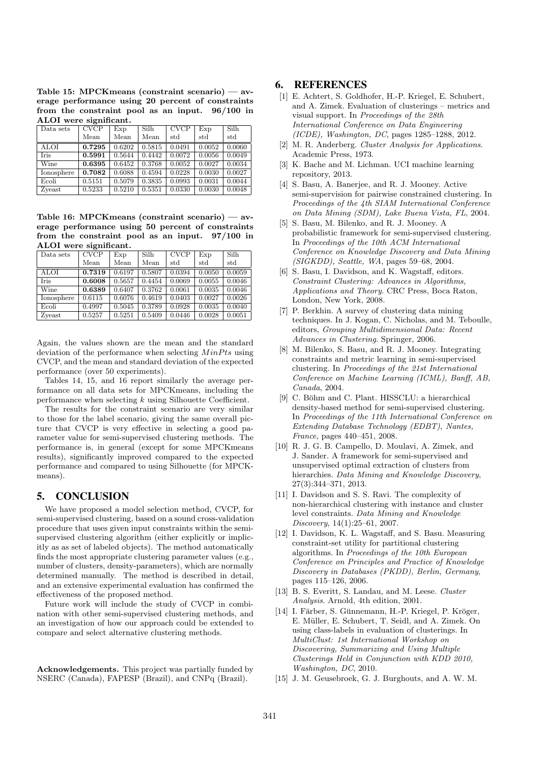Table 15: MPCKmeans (constraint scenario) — average performance using 20 percent of constraints from the constraint pool as an input. 96/100 in ALOI were significant.

| Data sets   | CVCP   | Exp    | Silh   | CVCP   | Exp    | SiIh   |
|-------------|--------|--------|--------|--------|--------|--------|
|             | Mean   | Mean   | Mean   | std    | std    | std    |
| ALOI        | 0.7295 | 0.6202 | 0.5815 | 0.0491 | 0.0052 | 0.0060 |
| <b>Iris</b> | 0.5991 | 0.5644 | 0.4442 | 0.0072 | 0.0056 | 0.0049 |
| Wine        | 0.6395 | 0.6452 | 0.3768 | 0.0052 | 0.0027 | 0.0034 |
| Ionosphere  | 0.7082 | 0.6088 | 0.4594 | 0.0228 | 0.0030 | 0.0027 |
| Ecoli       | 0.5151 | 0.5079 | 0.3835 | 0.0993 | 0.0031 | 0.0044 |
| Zyeast      | 0.5233 | 0.5210 | 0.5351 | 0.0330 | 0.0030 | 0.0048 |

Table 16: MPCKmeans (constraint scenario) — average performance using 50 percent of constraints from the constraint pool as an input. 97/100 in ALOI were significant.

| Data sets   | CVCP   | Exp    | Silh   | CVCP   | Exp    | Silh   |
|-------------|--------|--------|--------|--------|--------|--------|
|             | Mean   | Mean   | Mean   | std    | std    | std    |
| <b>ALOI</b> | 0.7319 | 0.6197 | 0.5807 | 0.0394 | 0.0050 | 0.0059 |
| <b>Iris</b> | 0.6008 | 0.5657 | 0.4454 | 0.0069 | 0.0055 | 0.0046 |
| Wine        | 0.6389 | 0.6407 | 0.3762 | 0.0061 | 0.0035 | 0.0046 |
| Ionosphere  | 0.6115 | 0.6076 | 0.4619 | 0.0403 | 0.0027 | 0.0026 |
| Ecoli       | 0.4997 | 0.5045 | 0.3789 | 0.0928 | 0.0035 | 0.0040 |
| Zyeast      | 0.5257 | 0.5251 | 0.5409 | 0.0446 | 0.0028 | 0.0051 |

Again, the values shown are the mean and the standard deviation of the performance when selecting  $MinPts$  using CVCP, and the mean and standard deviation of the expected performance (over 50 experiments).

Tables 14, 15, and 16 report similarly the average performance on all data sets for MPCKmeans, including the performance when selecting  $k$  using Silhouette Coefficient.

The results for the constraint scenario are very similar to those for the label scenario, giving the same overall picture that CVCP is very effective in selecting a good parameter value for semi-supervised clustering methods. The performance is, in general (except for some MPCKmeans results), significantly improved compared to the expected performance and compared to using Silhouette (for MPCKmeans).

## 5. CONCLUSION

We have proposed a model selection method, CVCP, for semi-supervised clustering, based on a sound cross-validation procedure that uses given input constraints within the semisupervised clustering algorithm (either explicitly or implicitly as as set of labeled objects). The method automatically finds the most appropriate clustering parameter values (e.g., number of clusters, density-parameters), which are normally determined manually. The method is described in detail, and an extensive experimental evaluation has confirmed the effectiveness of the proposed method.

Future work will include the study of CVCP in combination with other semi-supervised clustering methods, and an investigation of how our approach could be extended to compare and select alternative clustering methods.

Acknowledgements. This project was partially funded by NSERC (Canada), FAPESP (Brazil), and CNPq (Brazil).

## 6. REFERENCES

- [1] E. Achtert, S. Goldhofer, H.-P. Kriegel, E. Schubert, and A. Zimek. Evaluation of clusterings – metrics and visual support. In Proceedings of the 28th International Conference on Data Engineering (ICDE), Washington, DC, pages 1285–1288, 2012.
- [2] M. R. Anderberg. Cluster Analysis for Applications. Academic Press, 1973.
- [3] K. Bache and M. Lichman. UCI machine learning repository, 2013.
- [4] S. Basu, A. Banerjee, and R. J. Mooney. Active semi-supervision for pairwise constrained clustering. In Proceedings of the 4th SIAM International Conference on Data Mining (SDM), Lake Buena Vista, FL, 2004.
- [5] S. Basu, M. Bilenko, and R. J. Mooney. A probabilistic framework for semi-supervised clustering. In Proceedings of the 10th ACM International Conference on Knowledge Discovery and Data Mining (SIGKDD), Seattle, WA, pages 59–68, 2004.
- [6] S. Basu, I. Davidson, and K. Wagstaff, editors. Constraint Clustering: Advances in Algorithms, Applications and Theory. CRC Press, Boca Raton, London, New York, 2008.
- [7] P. Berkhin. A survey of clustering data mining techniques. In J. Kogan, C. Nicholas, and M. Teboulle, editors, Grouping Multidimensional Data: Recent Advances in Clustering. Springer, 2006.
- [8] M. Bilenko, S. Basu, and R. J. Mooney. Integrating constraints and metric learning in semi-supervised clustering. In Proceedings of the 21st International Conference on Machine Learning (ICML), Banff, AB, Canada, 2004.
- [9] C. Böhm and C. Plant. HISSCLU: a hierarchical density-based method for semi-supervised clustering. In Proceedings of the 11th International Conference on Extending Database Technology (EDBT), Nantes, France, pages 440–451, 2008.
- [10] R. J. G. B. Campello, D. Moulavi, A. Zimek, and J. Sander. A framework for semi-supervised and unsupervised optimal extraction of clusters from hierarchies. Data Mining and Knowledge Discovery, 27(3):344–371, 2013.
- [11] I. Davidson and S. S. Ravi. The complexity of non-hierarchical clustering with instance and cluster level constraints. Data Mining and Knowledge Discovery, 14(1):25–61, 2007.
- [12] I. Davidson, K. L. Wagstaff, and S. Basu. Measuring constraint-set utility for partitional clustering algorithms. In Proceedings of the 10th European Conference on Principles and Practice of Knowledge Discovery in Databases (PKDD), Berlin, Germany, pages 115–126, 2006.
- [13] B. S. Everitt, S. Landau, and M. Leese. Cluster Analysis. Arnold, 4th edition, 2001.
- [14] I. Färber, S. Günnemann, H.-P. Kriegel, P. Kröger, E. Müller, E. Schubert, T. Seidl, and A. Zimek. On using class-labels in evaluation of clusterings. In MultiClust: 1st International Workshop on Discovering, Summarizing and Using Multiple Clusterings Held in Conjunction with KDD 2010, Washington, DC, 2010.
- [15] J. M. Geusebroek, G. J. Burghouts, and A. W. M.